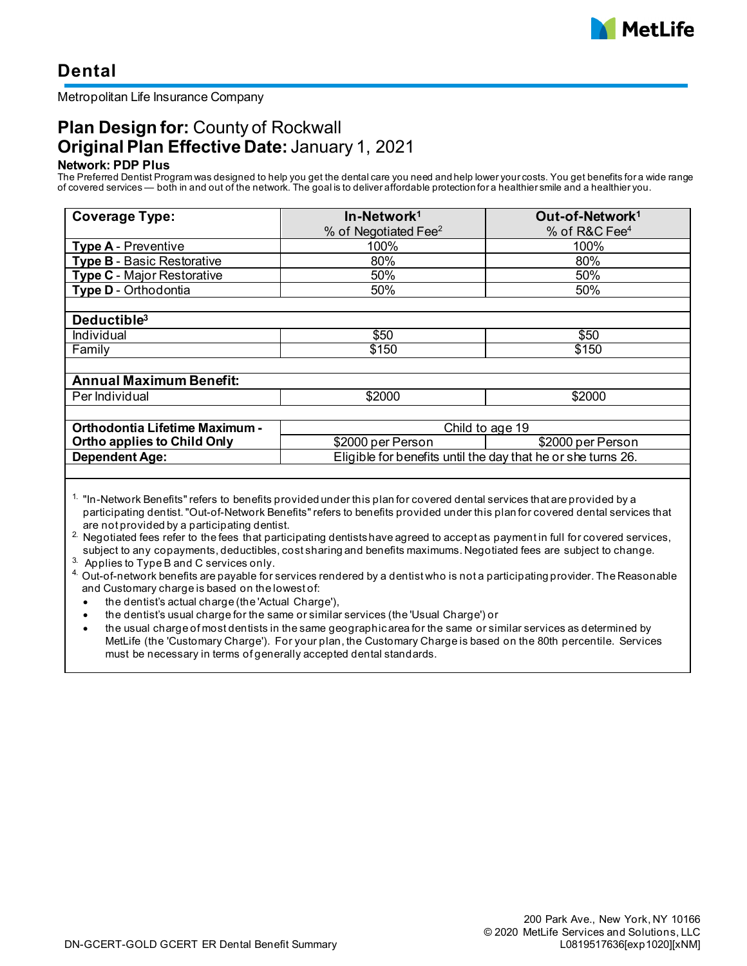

# **Dental**

#### Metropolitan Life Insurance Company

## **Plan Design for:** County of Rockwall **Original Plan Effective Date:** January 1, 2021

#### **Network: PDP Plus**

The Preferred Dentist Program was designed to help you get the dental care you need and help lower your costs. You get benefits for a wide range of covered services — both in and out of the network. The goal is to deliver affordable protection for a healthier smile and a healthier you.

| <b>Coverage Type:</b>                 | In-Network <sup>1</sup>                                      | Out-of-Network <sup>1</sup> |
|---------------------------------------|--------------------------------------------------------------|-----------------------------|
|                                       | % of Negotiated Fee <sup>2</sup>                             | % of R&C Fee <sup>4</sup>   |
| <b>Type A - Preventive</b>            | 100%                                                         | 100%                        |
| <b>Type B - Basic Restorative</b>     | 80%                                                          | 80%                         |
| <b>Type C - Major Restorative</b>     | 50%                                                          | 50%                         |
| Type D - Orthodontia                  | 50%                                                          | 50%                         |
|                                       |                                                              |                             |
| Deductible <sup>3</sup>               |                                                              |                             |
| Individual                            | \$50                                                         | \$50                        |
| Family                                | \$150                                                        | \$150                       |
|                                       |                                                              |                             |
| <b>Annual Maximum Benefit:</b>        |                                                              |                             |
| Per Individual                        | \$2000                                                       | \$2000                      |
|                                       |                                                              |                             |
| <b>Orthodontia Lifetime Maximum -</b> | Child to age 19                                              |                             |
| <b>Ortho applies to Child Only</b>    | \$2000 per Person                                            | \$2000 per Person           |
| <b>Dependent Age:</b>                 | Eligible for benefits until the day that he or she turns 26. |                             |
|                                       |                                                              |                             |

<sup>1.</sup> "In-Network Benefits" refers to benefits provided under this plan for covered dental services that are provided by a participating dentist. "Out-of-Network Benefits" refers to benefits provided under this plan for covered dental services that are not provided by a participating dentist.

<sup>2</sup>. Negotiated fees refer to the fees that participating dentists have agreed to accept as payment in full for covered services, subject to any copayments, deductibles, cost sharing and benefits maximums. Negotiated fees are subject to change.

 $3.$  Applies to Type B and C services only.

<sup>4.</sup> Out-of-network benefits are payable for services rendered by a dentist who is not a participating provider. The Reasonable and Customary charge is based on the lowest of:

• the dentist's actual charge (the 'Actual Charge'),

• the dentist's usual charge for the same or similar services (the 'Usual Charge') or

• the usual charge of most dentists in the same geographic area for the same or similar services as determined by MetLife (the 'Customary Charge'). For your plan, the Customary Charge is based on the 80th percentile. Services must be necessary in terms of generally accepted dental standards.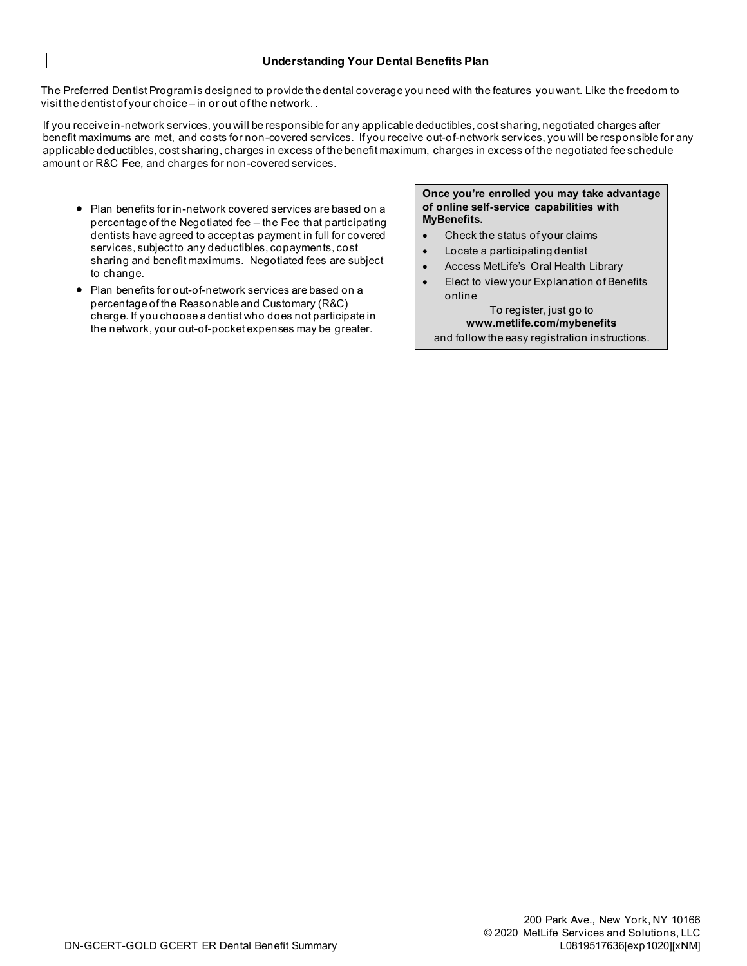#### **Understanding Your Dental Benefits Plan**

The Preferred Dentist Program is designed to provide the dental coverage you need with the features you want. Like the freedom to visit the dentist of your choice – in or out of the network. .

If you receive in-network services, you will be responsible for any applicable deductibles, cost sharing, negotiated charges after benefit maximums are met, and costs for non-covered services. If you receive out-of-network services, you will be responsible for any applicable deductibles, cost sharing, charges in excess of the benefit maximum, charges in excess of the negotiated fee schedule amount or R&C Fee, and charges for non-covered services.

- Plan benefits for in-network covered services are based on a percentage of the Negotiated fee – the Fee that participating dentists have agreed to accept as payment in full for covered services, subject to any deductibles, copayments, cost sharing and benefit maximums. Negotiated fees are subject to change.
- Plan benefits for out-of-network services are based on a percentage of the Reasonable and Customary (R&C) charge. If you choose a dentist who does not participate in the network, your out-of-pocket expenses may be greater.

**Once you're enrolled you may take advantage of online self-service capabilities with MyBenefits.**

- Check the status of your claims
- Locate a participating dentist
- Access MetLife's Oral Health Library
- Elect to view your Explanation of Benefits online

To register, just go to **www.metlife.com/mybenefits**  and follow the easy registration instructions.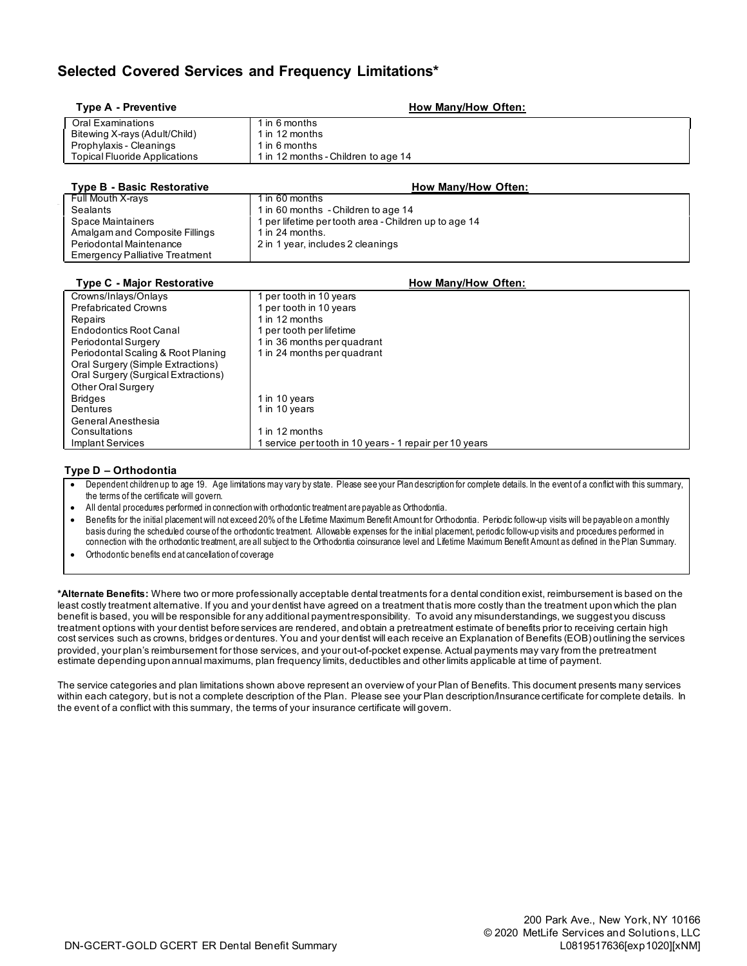### **Selected Covered Services and Frequency Limitations\***

| Type A - Preventive                   | How Many/How Often:                                 |
|---------------------------------------|-----------------------------------------------------|
| <b>Oral Examinations</b>              | $1$ in 6 months                                     |
| Bitewing X-rays (Adult/Child)         | 1 in 12 months                                      |
| Prophylaxis - Cleanings               | 1 in 6 months                                       |
| <b>Topical Fluoride Applications</b>  | 1 in 12 months - Children to age 14                 |
|                                       |                                                     |
| <b>Type B - Basic Restorative</b>     | <b>How Many/How Often:</b>                          |
| Full Mouth X-rays                     | 1 in 60 months                                      |
| <b>Sealants</b>                       | 1 in 60 months - Children to age 14                 |
| Space Maintainers                     | per lifetime per tooth area - Children up to age 14 |
| Amalgam and Composite Fillings        | 1 in 24 months.                                     |
| Periodontal Maintenance               | 2 in 1 year, includes 2 cleanings                   |
| <b>Emergency Palliative Treatment</b> |                                                     |
|                                       |                                                     |
|                                       |                                                     |
| <b>Type C - Major Restorative</b>     | How Many/How Often:                                 |
| Crowns/Inlays/Onlays                  | per tooth in 10 years                               |
| <b>Prefabricated Crowns</b>           | 1 per tooth in 10 years                             |
| Repairs                               | 1 in 12 months                                      |
| <b>Endodontics Root Canal</b>         | 1 per tooth per lifetime                            |
| Periodontal Surgery                   | 1 in 36 months per quadrant                         |
| Periodontal Scaling & Root Planing    | 1 in 24 months per quadrant                         |
| Oral Surgery (Simple Extractions)     |                                                     |
| Oral Surgery (Surgical Extractions)   |                                                     |
| Other Oral Surgery                    |                                                     |
| <b>Bridges</b>                        | 1 in 10 years                                       |
| Dentures                              | 1 in 10 years                                       |
| General Anesthesia                    |                                                     |
| Consultations                         | 1 in 12 months                                      |

#### **Type D – Orthodontia**

• Dependent children up to age 19. Age limitations may vary by state. Please see your Plan description for complete details. In the event of a conflict with this summary, the terms of the certificate will govern.

• All dental procedures performed in connection with orthodontic treatment are payable as Orthodontia.

• Benefits for the initial placement will not exceed 20% of the Lifetime Maximum Benefit Amount for Orthodontia. Periodic follow-up visits will be payable on a monthly basis during the scheduled course of the orthodontic treatment. Allowable expenses for the initial placement, periodic follow-up visits and procedures performed in connection with the orthodontic treatment, are all subject to the Orthodontia coinsurance level and Lifetime Maximum Benefit Amount as defined in the Plan Summary.

• Orthodontic benefits end at cancellation of coverage

**\*Alternate Benefits:** Where two or more professionally acceptable dental treatments for a dental condition exist, reimbursement is based on the least costly treatment alternative. If you and your dentist have agreed on a treatment that is more costly than the treatment upon which the plan benefit is based, you will be responsible for any additional payment responsibility. To avoid any misunderstandings, we suggest you discuss treatment options with your dentist before services are rendered, and obtain a pretreatment estimate of benefits prior to receiving certain high cost services such as crowns, bridges or dentures. You and your dentist will each receive an Explanation of Benefits (EOB) outlining the services provided, your plan's reimbursement for those services, and your out-of-pocket expense. Actual payments may vary from the pretreatment estimate depending upon annual maximums, plan frequency limits, deductibles and other limits applicable at time of payment.

The service categories and plan limitations shown above represent an overview of your Plan of Benefits. This document presents many services within each category, but is not a complete description of the Plan. Please see your Plan description/Insurance certificate for complete details. In the event of a conflict with this summary, the terms of your insurance certificate will govern.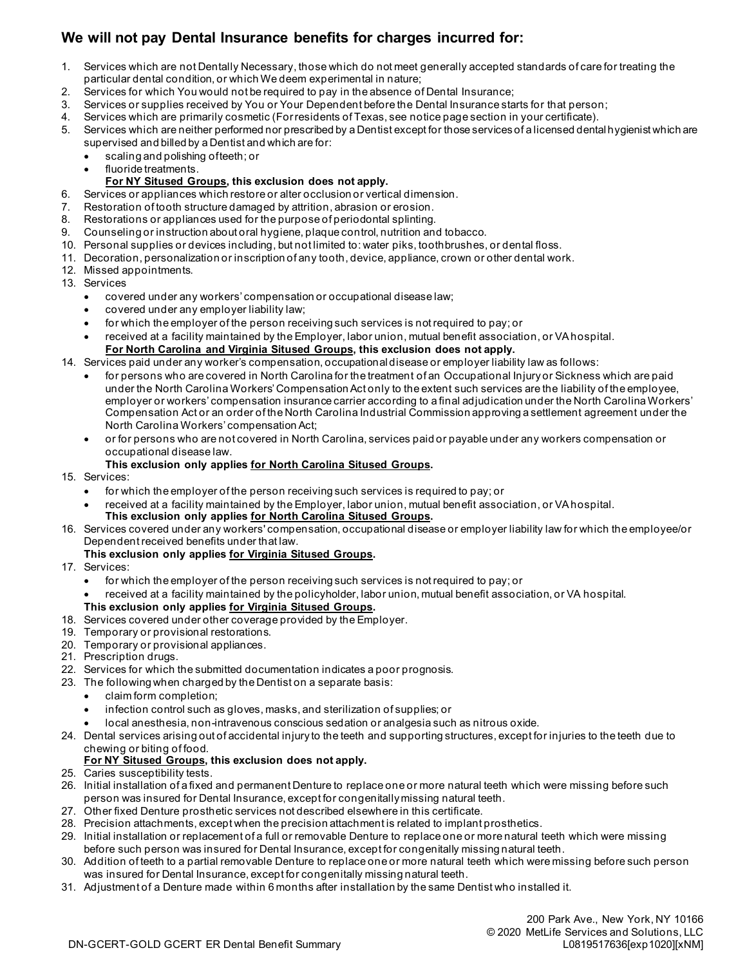## **We will not pay Dental Insurance benefits for charges incurred for:**

- 1. Services which are not Dentally Necessary, those which do not meet generally accepted standards of care for treating the particular dental condition, or which We deem experimental in nature;
- 2. Services for which You would not be required to pay in the absence of Dental Insurance;
- 3. Services or supplies received by You or Your Dependent before the Dental Insurance starts for that person;
- 4. Services which are primarily cosmetic (For residents of Texas, see notice page section in your certificate).
- 5. Services which are neither performed nor prescribed by a Dentist except for those services of a licensed dental hygienist which are supervised and billed by a Dentist and which are for:
	- scaling and polishing of teeth; or
	- fluoride treatments.

#### **For NY Sitused Groups, this exclusion does not apply.**

- 6. Services or appliances which restore or alter occlusion or vertical dimension.
- 7. Restoration of tooth structure damaged by attrition, abrasion or erosion.
- 8. Restorations or appliances used for the purpose of periodontal splinting.
- 9. Counseling or instruction about oral hygiene, plaque control, nutrition and tobacco.
- 10. Personal supplies or devices including, but not limited to: water piks, toothbrushes, or dental floss.
- 11. Decoration, personalization or inscription of any tooth, device, appliance, crown or other dental work.
- 12. Missed appointments.
- 13. Services
	- covered under any workers' compensation or occupational disease law;
	- covered under any employer liability law;
	- for which the employer of the person receiving such services is not required to pay; or
	- received at a facility maintained by the Employer, labor union, mutual benefit association, or VA hospital. **For North Carolina and Virginia Sitused Groups, this exclusion does not apply.**
- 14. Services paid under any worker's compensation, occupational disease or employer liability law as follows:
	- for persons who are covered in North Carolina for the treatment of an Occupational Injury or Sickness which are paid under the North Carolina Workers' Compensation Act only to the extent such services are the liability of the employee, employer or workers' compensation insurance carrier according to a final adjudication under the North Carolina Workers' Compensation Act or an order of the North Carolina Industrial Commission approving a settlement agreement under the North Carolina Workers' compensation Act;
	- or for persons who are not covered in North Carolina, services paid or payable under any workers compensation or occupational disease law.
	- **This exclusion only applies for North Carolina Sitused Groups.**
- 15. Services:
	- for which the employer of the person receiving such services is required to pay; or
	- received at a facility maintained by the Employer, labor union, mutual benefit association, or VA hospital. **This exclusion only applies for North Carolina Sitused Groups.**
- 16. Services covered under any workers' compensation, occupational disease or employer liability law for which the employee/or Dependent received benefits under that law.

#### **This exclusion only applies for Virginia Sitused Groups.**

- 17. Services:
	- for which the employer of the person receiving such services is not required to pay; or
	- received at a facility maintained by the policyholder, labor union, mutual benefit association, or VA hospital. **This exclusion only applies for Virginia Sitused Groups.**
- 18. Services covered under other coverage provided by the Employer.
- 19. Temporary or provisional restorations.
- 20. Temporary or provisional appliances.
- 21. Prescription drugs.
- 22. Services for which the submitted documentation indicates a poor prognosis.
- 23. The following when charged by the Dentist on a separate basis:
	- claim form completion;
	- infection control such as gloves, masks, and sterilization of supplies; or
	- local anesthesia, non-intravenous conscious sedation or analgesia such as nitrous oxide.
- 24. Dental services arising out of accidental injury to the teeth and supporting structures, except for injuries to the teeth due to chewing or biting of food.

#### **For NY Sitused Groups, this exclusion does not apply.**

- 25. Caries susceptibility tests.
- 26. Initial installation of a fixed and permanent Denture to replace one or more natural teeth which were missing before such person was insured for Dental Insurance, except for congenitally missing natural teeth.
- 27. Other fixed Denture prosthetic services not described elsewhere in this certificate.
- 28. Precision attachments, except when the precision attachment is related to implant prosthetics.
- 29. Initial installation or replacement of a full or removable Denture to replace one or more natural teeth which were missing before such person was insured for Dental Insurance, except for congenitally missing natural teeth.
- 30. Addition of teeth to a partial removable Denture to replace one or more natural teeth which were missing before such person was insured for Dental Insurance, except for congenitally missing natural teeth.
- 31. Adjustment of a Denture made within 6 months after installation by the same Dentist who installed it.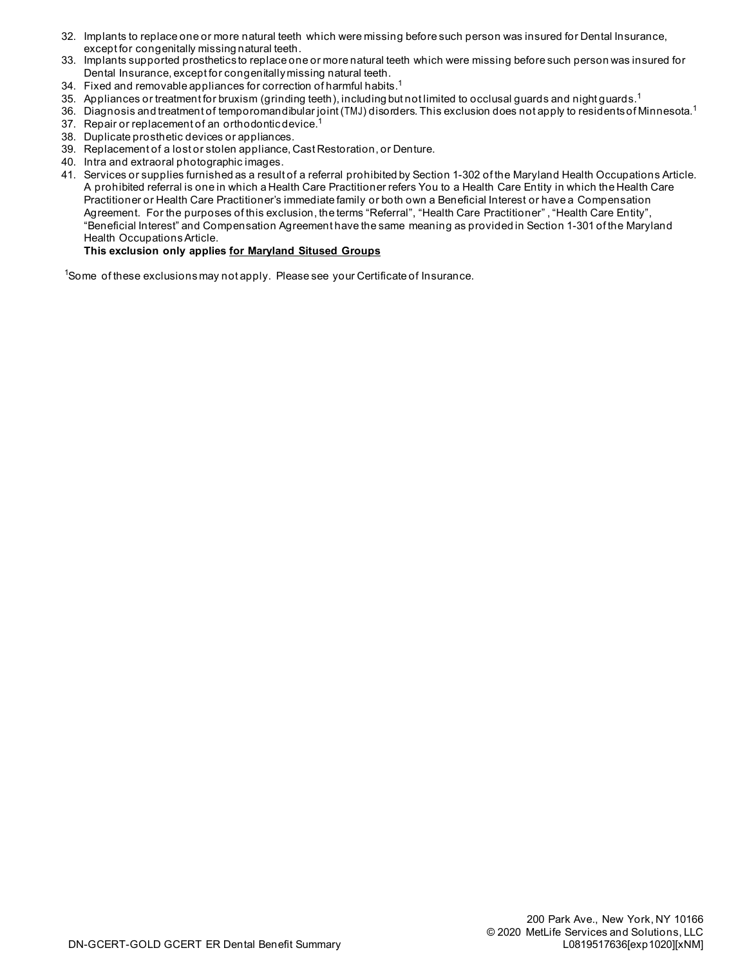- 32. Implants to replace one or more natural teeth which were missing before such person was insured for Dental Insurance, except for congenitally missing natural teeth.
- 33. Implants supported prosthetics to replace one or more natural teeth which were missing before such person was insured for Dental Insurance, except for congenitally missing natural teeth.
- 34. Fixed and removable appliances for correction of harmful habits.<sup>1</sup>
- 35. Appliances or treatment for bruxism (grinding teeth), including but not limited to occlusal guards and night guards.<sup>1</sup>
- 36. Diagnosis and treatment of temporomandibular joint (TMJ) disorders. This exclusion does not apply to residents of Minnesota.<sup>1</sup> 37. Repair or replacement of an orthodontic device.<sup>1</sup>
- 38. Duplicate prosthetic devices or appliances.
- 39. Replacement of a lost or stolen appliance, Cast Restoration, or Denture.
- 40. Intra and extraoral photographic images.
- 41. Services or supplies furnished as a result of a referral prohibited by Section 1-302 of the Maryland Health Occupations Article. A prohibited referral is one in which a Health Care Practitioner refers You to a Health Care Entity in which the Health Care Practitioner or Health Care Practitioner's immediate family or both own a Beneficial Interest or have a Compensation Agreement. For the purposes of this exclusion, the terms "Referral", "Health Care Practitioner" , "Health Care Entity", "Beneficial Interest" and Compensation Agreement have the same meaning as provided in Section 1-301 of the Maryland Health Occupations Article.

#### **This exclusion only applies for Maryland Sitused Groups**

<sup>1</sup>Some of these exclusions may not apply. Please see your Certificate of Insurance.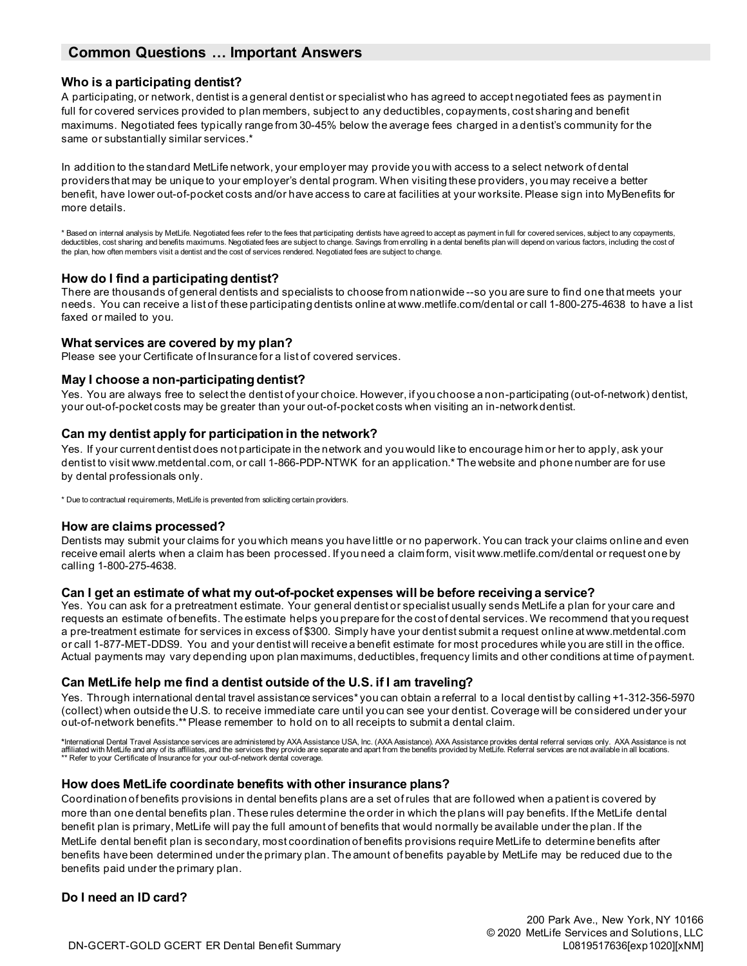### **Common Questions … Important Answers**

#### **Who is a participating dentist?**

A participating, or network, dentist is a general dentist or specialist who has agreed to accept negotiated fees as payment in full for covered services provided to plan members, subject to any deductibles, copayments, cost sharing and benefit maximums. Negotiated fees typically range from 30-45% below the average fees charged in a dentist's community for the same or substantially similar services.\*

In addition to the standard MetLife network, your employer may provide you with access to a select network of dental providers that may be unique to your employer's dental program. When visiting these providers, you may receive a better benefit, have lower out-of-pocket costs and/or have access to care at facilities at your worksite. Please sign into MyBenefits for more details.

\* Based on internal analysis by MetLife. Negotiated fees refer to the fees that participating dentists have agreed to accept as payment in full for covered services, subject to any copayments,<br>deductibles, cost sharing and the plan, how often members visit a dentist and the cost of services rendered. Negotiated fees are subject to change.

#### **How do I find a participating dentist?**

There are thousands of general dentists and specialists to choose from nationwide --so you are sure to find one that meets your needs. You can receive a list of these participating dentists online at www.metlife.com/dental or call 1-800-275-4638 to have a list faxed or mailed to you.

#### **What services are covered by my plan?**

Please see your Certificate of Insurance for a list of covered services.

#### **May I choose a non-participating dentist?**

Yes. You are always free to select the dentist of your choice. However, if you choose a non-participating (out-of-network) dentist, your out-of-pocket costs may be greater than your out-of-pocket costs when visiting an in-network dentist.

#### **Can my dentist apply for participation in the network?**

Yes. If your current dentist does not participate in the network and you would like to encourage him or her to apply, ask your dentist to visit www.metdental.com, or call 1-866-PDP-NTWK for an application.\* The website and phone number are for use by dental professionals only.

\* Due to contractual requirements, MetLife is prevented from soliciting certain providers.

#### **How are claims processed?**

Dentists may submit your claims for you which means you have little or no paperwork. You can track your claims online and even receive email alerts when a claim has been processed. If you need a claim form, visit www.metlife.com/dental or request one by calling 1-800-275-4638.

#### **Can I get an estimate of what my out-of-pocket expenses will be before receiving a service?**

Yes. You can ask for a pretreatment estimate. Your general dentist or specialist usually sends MetLife a plan for your care and requests an estimate of benefits. The estimate helps you prepare for the cost of dental services. We recommend that you request a pre-treatment estimate for services in excess of \$300. Simply have your dentist submit a request online at www.metdental.com or call 1-877-MET-DDS9. You and your dentist will receive a benefit estimate for most procedures while you are still in the office. Actual payments may vary depending upon plan maximums, deductibles, frequency limits and other conditions at time of payment.

#### **Can MetLife help me find a dentist outside of the U.S. if I am traveling?**

Yes. Through international dental travel assistance services\* you can obtain a referral to a local dentist by calling +1-312-356-5970 (collect) when outside the U.S. to receive immediate care until you can see your dentist. Coverage will be considered under your out-of-network benefits.\*\* Please remember to hold on to all receipts to submit a dental claim.

\*International Dental Travel Assistance services are administered by AXA Assistance (USA, Inc. (AXA Assistance). AXA Assistance provides dental referral services only. AXA Assistance is not<br>affiliated with MetLife and any \*\* Refer to your Certificate of Insurance for your out-of-network dental coverage.

#### **How does MetLife coordinate benefits with other insurance plans?**

Coordination of benefits provisions in dental benefits plans are a set of rules that are followed when a patient is covered by more than one dental benefits plan. These rules determine the order in which the plans will pay benefits. If the MetLife dental benefit plan is primary, MetLife will pay the full amount of benefits that would normally be available under the plan. If the MetLife dental benefit plan is secondary, most coordination of benefits provisions require MetLife to determine benefits after benefits have been determined under the primary plan. The amount of benefits payable by MetLife may be reduced due to the benefits paid under the primary plan.

#### **Do I need an ID card?**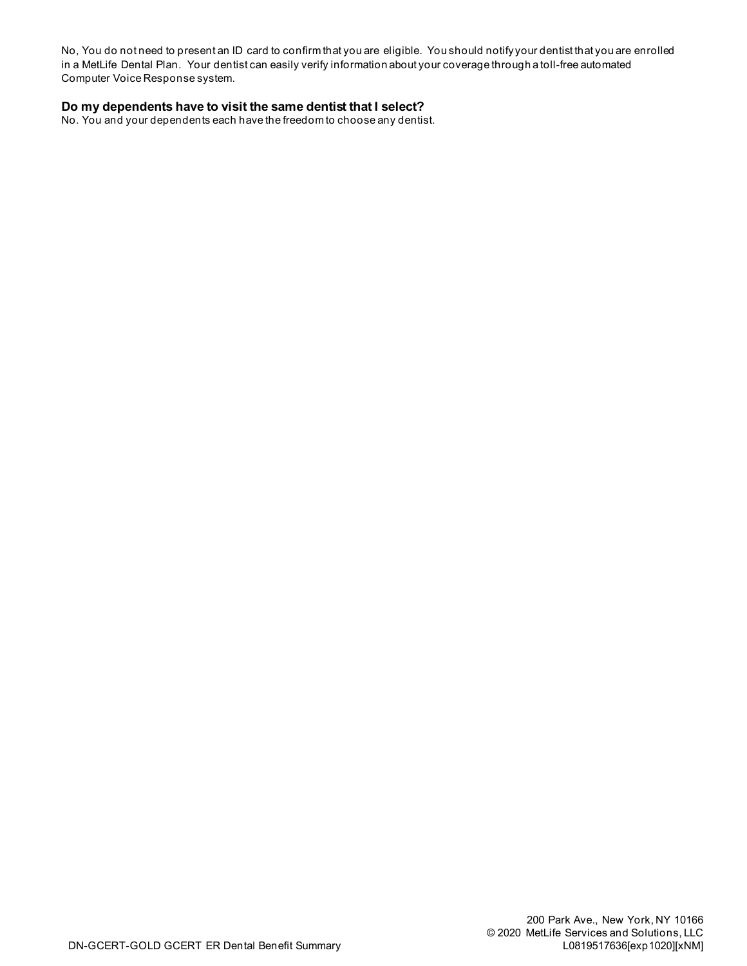No, You do not need to present an ID card to confirm that you are eligible. You should notify your dentist that you are enrolled in a MetLife Dental Plan. Your dentist can easily verify information about your coverage through a toll-free automated Computer Voice Response system.

### **Do my dependents have to visit the same dentist that I select?**

No. You and your dependents each have the freedom to choose any dentist.